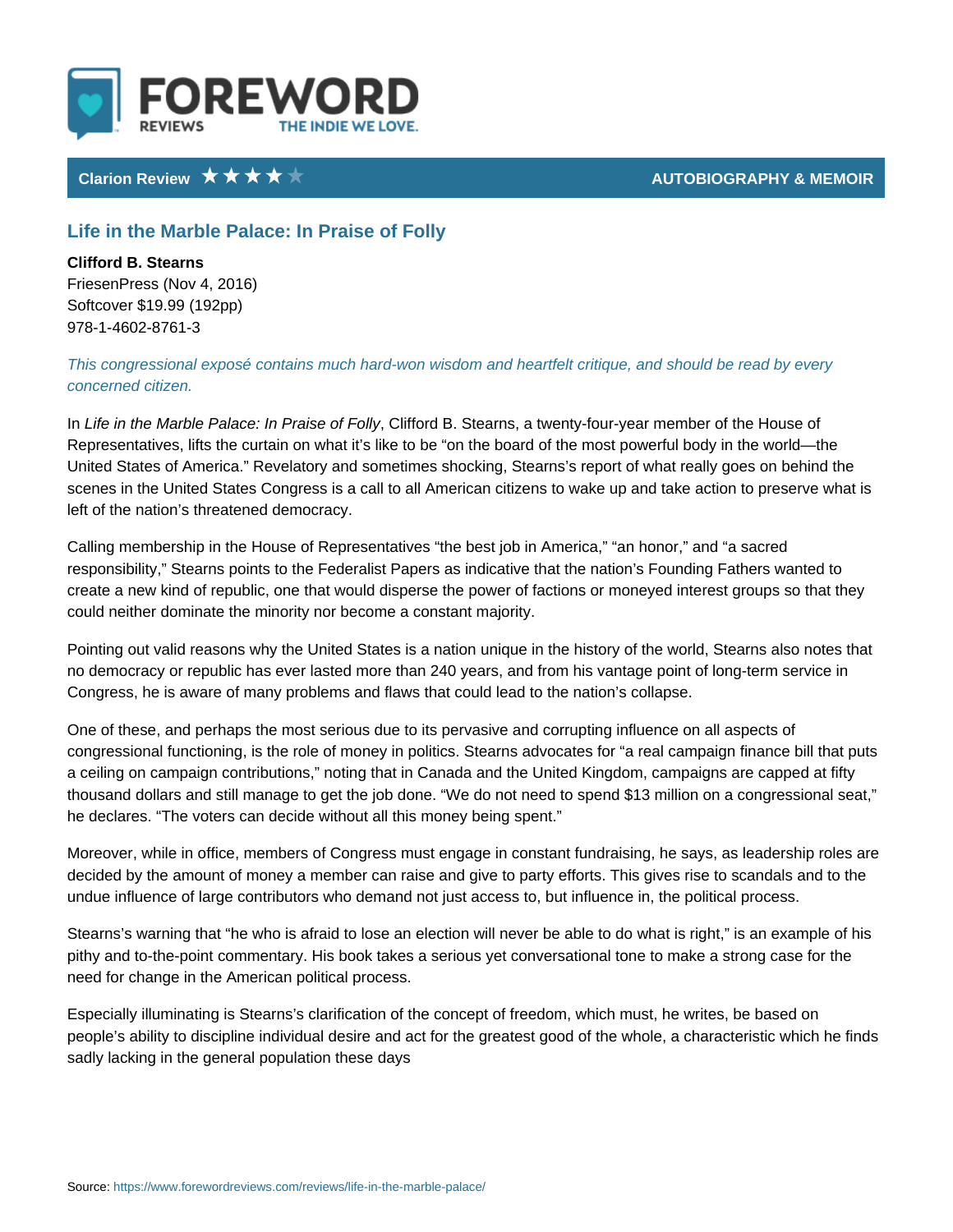## Life in the Marble Palace: In Praise of Folly

Clifford B. Stearns FriesenPress (Nov 4, 2016) Softcover \$19.99 (192pp) 978-1-4602-8761-3

This congressional exposé contains much hard-won wisdom and heartfelt critique concerned citizen.

InLife in the Marble Palace: InC Pinfaosed B.f Esollayrns, a twenty-four-year member of Representatives, lifts the curtain on what it s like to be on the board of the  $m_1$ United States of America. Revelatory and sometimes shocking, Stearns s repor scenes in the United States Congress is a call to all American citizens to wake left of the nation s threatened democracy.

Calling membership in the House of Representatives the best job in America, responsibility, Stearns points to the Federalist Papers as indicative that the n create a new kind of republic, one that would disperse the power of factions or could neither dominate the minority nor become a constant majority.

Pointing out valid reasons why the United States is a nation unique in the histo no democracy or republic has ever lasted more than 240 years, and from his va Congress, he is aware of many problems and flaws that could lead to the nation

One of these, and perhaps the most serious due to its pervasive and corrupting congressional functioning, is the role of money in politics. Stearns advocates f a ceiling on campaign contributions, noting that in Canada and the United King thousand dollars and still manage to get the job done. We do not need to spen he declares. The voters can decide without all this money being spent.

Moreover, while in office, members of Congress must engage in constant fundra decided by the amount of money a member can raise and give to party efforts. This give to scandals and to the to the to the to the to the to the to the to the to the to the to the to the to the to the to the to the to the undue influence of large contributors who demand not just access to, but influe

Stearns s warning that he who is afraid to lose an election will never be able to pithy and to-the-point commentary. His book takes a serious yet conversational need for change in the American political process.

Especially illuminating is Stearns s clarification of the concept of freedom, whi people s ability to discipline individual desire and act for the greatest good of sadly lacking in the general population these days